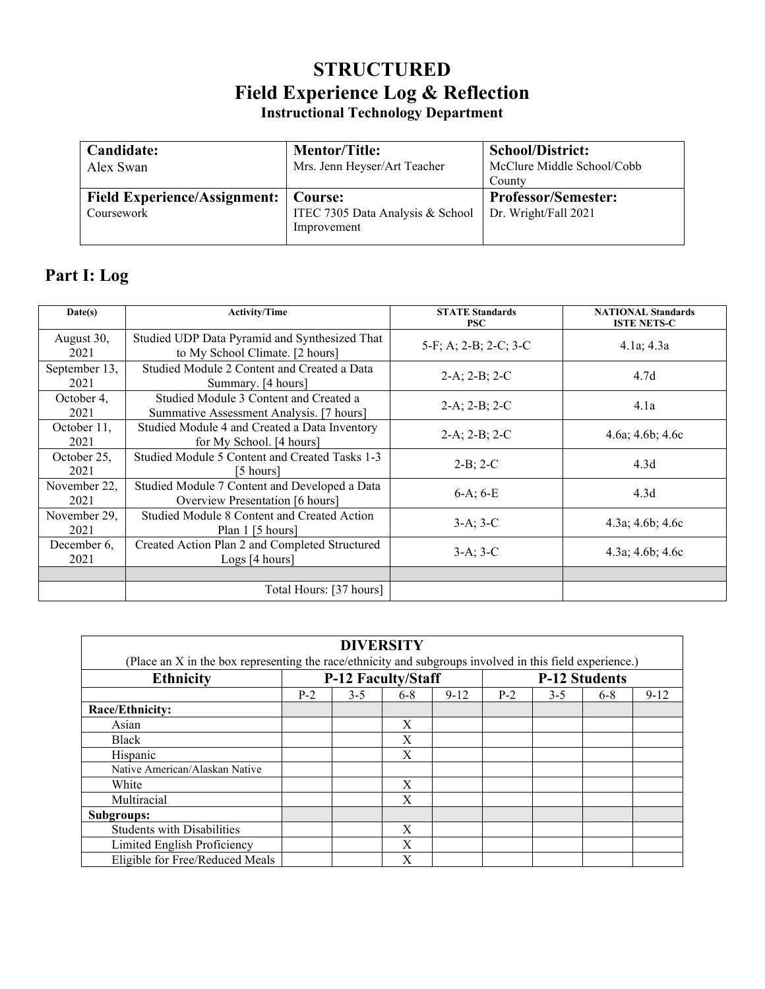# **STRUCTURED Field Experience Log & Reflection Instructional Technology Department**

| Candidate:<br>Alex Swan                | <b>Mentor/Title:</b><br>Mrs. Jenn Heyser/Art Teacher | <b>School/District:</b><br>McClure Middle School/Cobb<br>County |
|----------------------------------------|------------------------------------------------------|-----------------------------------------------------------------|
| Field Experience/Assignment:   Course: | ITEC 7305 Data Analysis & School                     | <b>Professor/Semester:</b>                                      |
| Coursework                             | Improvement                                          | Dr. Wright/Fall 2021                                            |

# **Part I: Log**

| Date(s)               | <b>Activity/Time</b>                                                               | <b>STATE Standards</b><br>PSC. | <b>NATIONAL Standards</b><br><b>ISTE NETS-C</b> |  |
|-----------------------|------------------------------------------------------------------------------------|--------------------------------|-------------------------------------------------|--|
| August 30,<br>2021    | Studied UDP Data Pyramid and Synthesized That<br>to My School Climate. [2 hours]   | $5-F$ ; A; 2-B; 2-C; 3-C       | $4.1a$ ; $4.3a$                                 |  |
| September 13,<br>2021 | Studied Module 2 Content and Created a Data<br>Summary. [4 hours]                  | $2-A$ ; $2-B$ ; $2-C$          | 4.7d                                            |  |
| October 4,<br>2021    | Studied Module 3 Content and Created a<br>Summative Assessment Analysis. [7 hours] | $2-A$ ; $2-B$ ; $2-C$          | 4.1a                                            |  |
| October 11,<br>2021   | Studied Module 4 and Created a Data Inventory<br>for My School. [4 hours]          | $2-A; 2-B; 2-C$                | 4.6a; 4.6b; 4.6c                                |  |
| October 25,<br>2021   | Studied Module 5 Content and Created Tasks 1-3<br>[5 hours]                        | $2-B$ ; $2-C$                  | 4.3d                                            |  |
| November 22,<br>2021  | Studied Module 7 Content and Developed a Data<br>Overview Presentation [6 hours]   | $6-A; 6-E$                     | 4.3d                                            |  |
| November 29,<br>2021  | Studied Module 8 Content and Created Action<br>Plan $1 \,$ [5 hours]               | $3-A:3-C$                      | $4.3a$ ; $4.6b$ ; $4.6c$                        |  |
| December 6,<br>2021   | Created Action Plan 2 and Completed Structured<br>Logs [4 hours]                   | $3-A; 3-C$                     | $4.3a$ ; $4.6b$ ; $4.6c$                        |  |
|                       |                                                                                    |                                |                                                 |  |
|                       | Total Hours: [37 hours]                                                            |                                |                                                 |  |

| <b>DIVERSITY</b>                                                                                         |                           |         |         |                      |       |       |         |          |  |  |  |  |
|----------------------------------------------------------------------------------------------------------|---------------------------|---------|---------|----------------------|-------|-------|---------|----------|--|--|--|--|
| (Place an X in the box representing the race/ethnicity and subgroups involved in this field experience.) |                           |         |         |                      |       |       |         |          |  |  |  |  |
| <b>Ethnicity</b>                                                                                         | <b>P-12 Faculty/Staff</b> |         |         | <b>P-12 Students</b> |       |       |         |          |  |  |  |  |
|                                                                                                          | $P-2$                     | $3 - 5$ | $6 - 8$ | $9 - 12$             | $P-2$ | $3-5$ | $6 - 8$ | $9 - 12$ |  |  |  |  |
| Race/Ethnicity:                                                                                          |                           |         |         |                      |       |       |         |          |  |  |  |  |
| Asian                                                                                                    |                           |         | X       |                      |       |       |         |          |  |  |  |  |
| <b>Black</b>                                                                                             |                           |         | X       |                      |       |       |         |          |  |  |  |  |
| Hispanic                                                                                                 |                           |         | X       |                      |       |       |         |          |  |  |  |  |
| Native American/Alaskan Native                                                                           |                           |         |         |                      |       |       |         |          |  |  |  |  |
| White                                                                                                    |                           |         | X       |                      |       |       |         |          |  |  |  |  |
| Multiracial                                                                                              |                           |         | X       |                      |       |       |         |          |  |  |  |  |
| Subgroups:                                                                                               |                           |         |         |                      |       |       |         |          |  |  |  |  |
| <b>Students with Disabilities</b>                                                                        |                           |         | X       |                      |       |       |         |          |  |  |  |  |
| Limited English Proficiency                                                                              |                           |         | X       |                      |       |       |         |          |  |  |  |  |
| Eligible for Free/Reduced Meals                                                                          |                           |         | X       |                      |       |       |         |          |  |  |  |  |